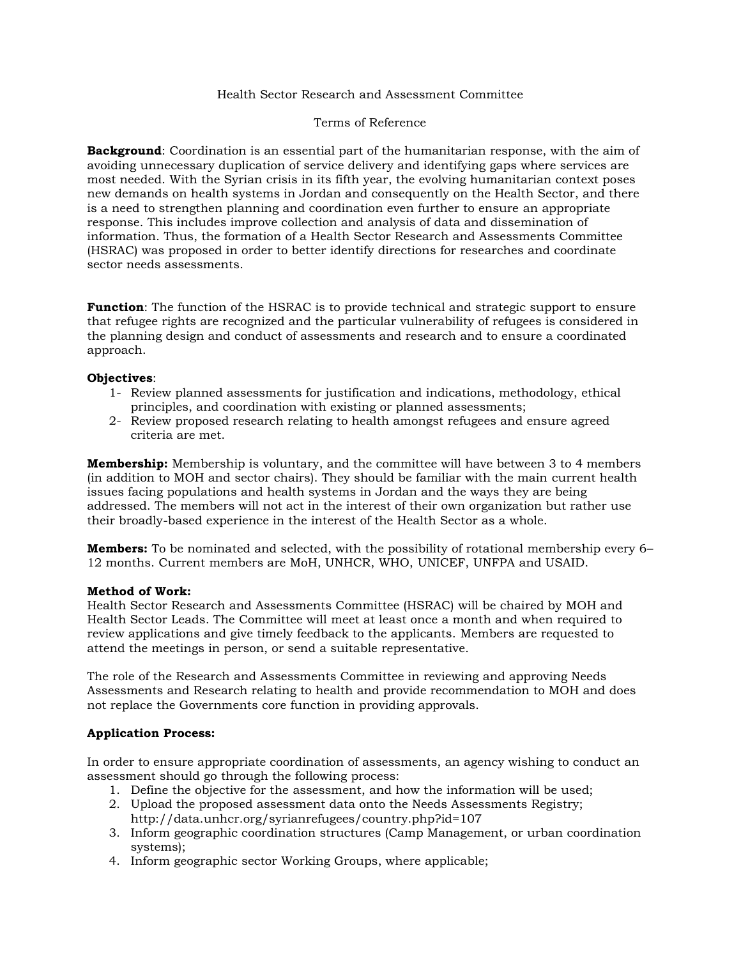#### Health Sector Research and Assessment Committee

#### Terms of Reference

**Background**: Coordination is an essential part of the humanitarian response, with the aim of avoiding unnecessary duplication of service delivery and identifying gaps where services are most needed. With the Syrian crisis in its fifth year, the evolving humanitarian context poses new demands on health systems in Jordan and consequently on the Health Sector, and there is a need to strengthen planning and coordination even further to ensure an appropriate response. This includes improve collection and analysis of data and dissemination of information. Thus, the formation of a Health Sector Research and Assessments Committee (HSRAC) was proposed in order to better identify directions for researches and coordinate sector needs assessments.

**Function**: The function of the HSRAC is to provide technical and strategic support to ensure that refugee rights are recognized and the particular vulnerability of refugees is considered in the planning design and conduct of assessments and research and to ensure a coordinated approach.

#### **Objectives**:

- 1- Review planned assessments for justification and indications, methodology, ethical principles, and coordination with existing or planned assessments;
- 2- Review proposed research relating to health amongst refugees and ensure agreed criteria are met.

**Membership:** Membership is voluntary, and the committee will have between 3 to 4 members (in addition to MOH and sector chairs). They should be familiar with the main current health issues facing populations and health systems in Jordan and the ways they are being addressed. The members will not act in the interest of their own organization but rather use their broadly-based experience in the interest of the Health Sector as a whole.

**Members:** To be nominated and selected, with the possibility of rotational membership every 6– 12 months. Current members are MoH, UNHCR, WHO, UNICEF, UNFPA and USAID.

#### **Method of Work:**

Health Sector Research and Assessments Committee (HSRAC) will be chaired by MOH and Health Sector Leads. The Committee will meet at least once a month and when required to review applications and give timely feedback to the applicants. Members are requested to attend the meetings in person, or send a suitable representative.

The role of the Research and Assessments Committee in reviewing and approving Needs Assessments and Research relating to health and provide recommendation to MOH and does not replace the Governments core function in providing approvals.

## **Application Process:**

In order to ensure appropriate coordination of assessments, an agency wishing to conduct an assessment should go through the following process:

- 1. Define the objective for the assessment, and how the information will be used;
- 2. Upload the proposed assessment data onto the Needs Assessments Registry; <http://data.unhcr.org/syrianrefugees/country.php?id=107>
- 3. Inform geographic coordination structures (Camp Management, or urban coordination systems);
- 4. Inform geographic sector Working Groups, where applicable;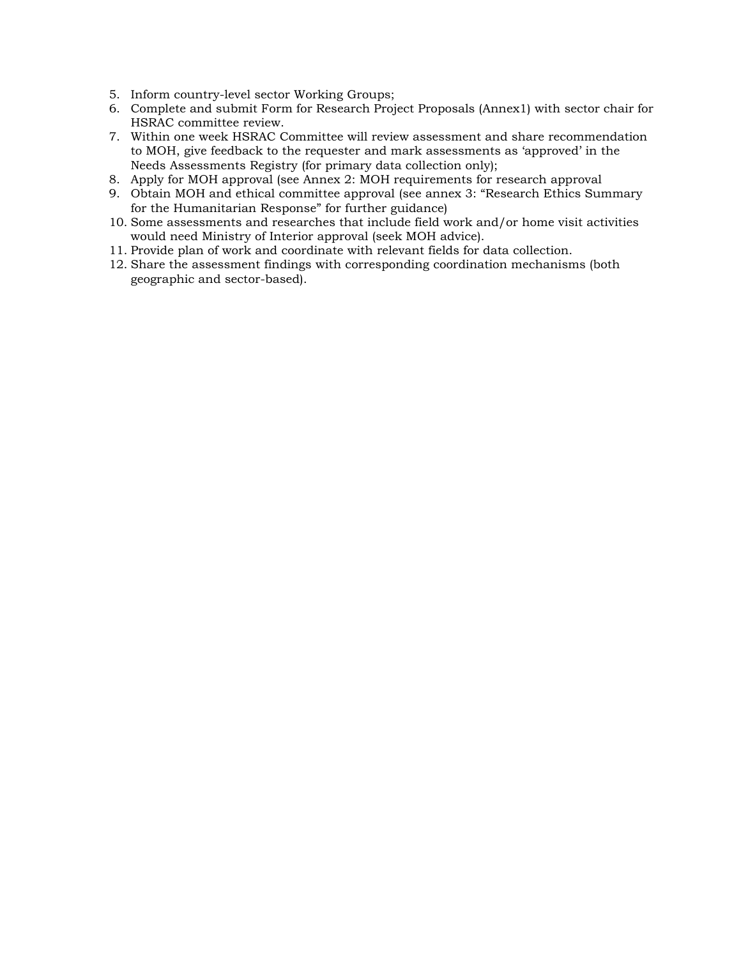- 5. Inform country-level sector Working Groups;
- 6. Complete and submit Form for Research Project Proposals (Annex1) with sector chair for HSRAC committee review.
- 7. Within one week HSRAC Committee will review assessment and share recommendation to MOH, give feedback to the requester and mark assessments as 'approved' in the Needs Assessments Registry (for primary data collection only);
- 8. Apply for MOH approval (see Annex 2: MOH requirements for research approval
- 9. Obtain MOH and ethical committee approval (see annex 3: "Research Ethics Summary for the Humanitarian Response" for further guidance)
- 10. Some assessments and researches that include field work and/or home visit activities would need Ministry of Interior approval (seek MOH advice).
- 11. Provide plan of work and coordinate with relevant fields for data collection.
- 12. Share the assessment findings with corresponding coordination mechanisms (both geographic and sector-based).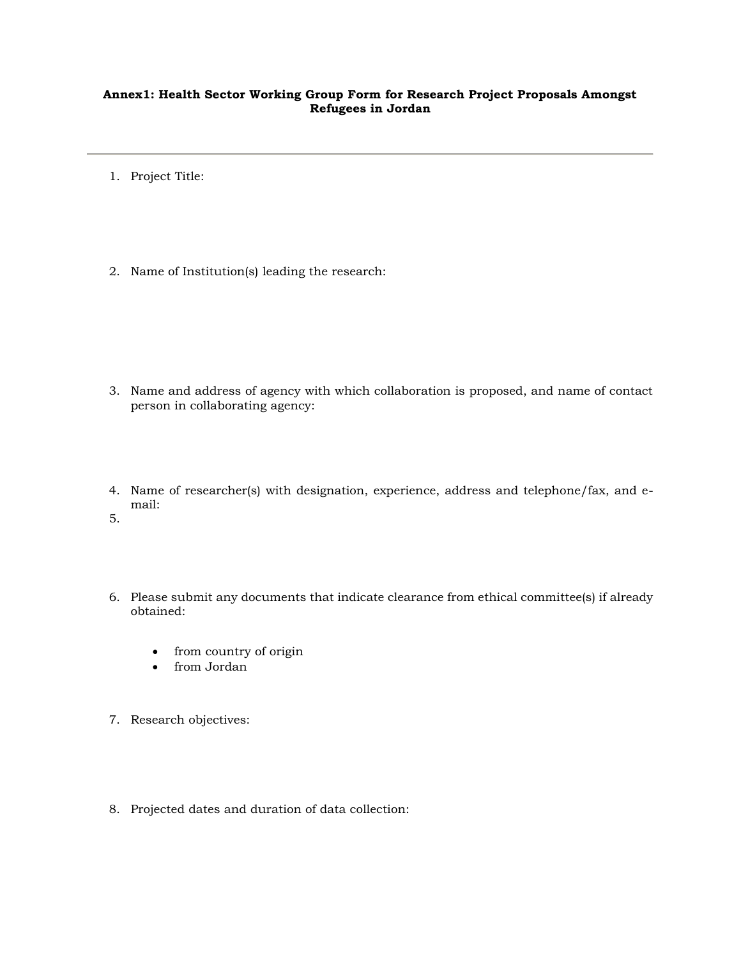## **Annex1: Health Sector Working Group Form for Research Project Proposals Amongst Refugees in Jordan**

- 1. Project Title:
- 2. Name of Institution(s) leading the research:

- 3. Name and address of agency with which collaboration is proposed, and name of contact person in collaborating agency:
- 4. Name of researcher(s) with designation, experience, address and telephone/fax, and email:
- 5.
- 6. Please submit any documents that indicate clearance from ethical committee(s) if already obtained:
	- from country of origin
	- from Jordan
- 7. Research objectives:
- 8. Projected dates and duration of data collection: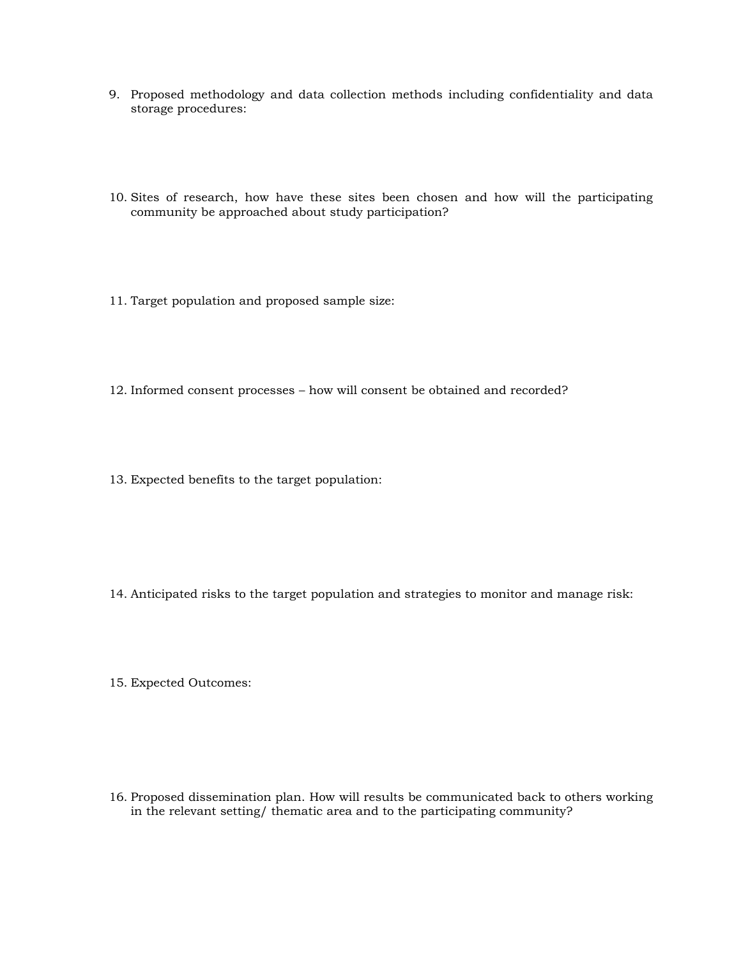- 9. Proposed methodology and data collection methods including confidentiality and data storage procedures:
- 10. Sites of research, how have these sites been chosen and how will the participating community be approached about study participation?
- 11. Target population and proposed sample size:
- 12. Informed consent processes how will consent be obtained and recorded?
- 13. Expected benefits to the target population:

- 14. Anticipated risks to the target population and strategies to monitor and manage risk:
- 15. Expected Outcomes:

16. Proposed dissemination plan. How will results be communicated back to others working in the relevant setting/ thematic area and to the participating community?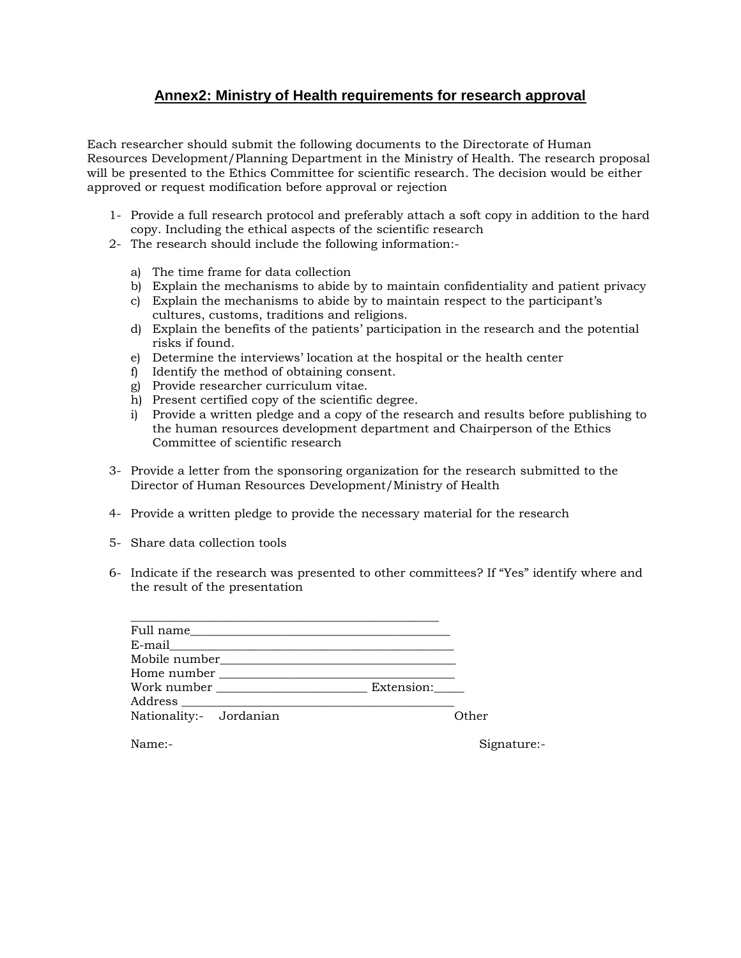## **Annex2: Ministry of Health requirements for research approval**

Each researcher should submit the following documents to the Directorate of Human Resources Development/Planning Department in the Ministry of Health. The research proposal will be presented to the Ethics Committee for scientific research. The decision would be either approved or request modification before approval or rejection

- 1- Provide a full research protocol and preferably attach a soft copy in addition to the hard copy. Including the ethical aspects of the scientific research
- 2- The research should include the following information:
	- a) The time frame for data collection
	- b) Explain the mechanisms to abide by to maintain confidentiality and patient privacy
	- c) Explain the mechanisms to abide by to maintain respect to the participant's cultures, customs, traditions and religions.
	- d) Explain the benefits of the patients' participation in the research and the potential risks if found.
	- e) Determine the interviews' location at the hospital or the health center
	- f) Identify the method of obtaining consent.
	- g) Provide researcher curriculum vitae.
	- h) Present certified copy of the scientific degree.
	- i) Provide a written pledge and a copy of the research and results before publishing to the human resources development department and Chairperson of the Ethics Committee of scientific research
- 3- Provide a letter from the sponsoring organization for the research submitted to the Director of Human Resources Development/Ministry of Health
- 4- Provide a written pledge to provide the necessary material for the research
- 5- Share data collection tools
- 6- Indicate if the research was presented to other committees? If "Yes" identify where and the result of the presentation

| Mobile number           |             |
|-------------------------|-------------|
| Home number             |             |
|                         | Extension:  |
| Address __________      |             |
| Nationality:- Jordanian | Other       |
| Name:-                  | Signature:- |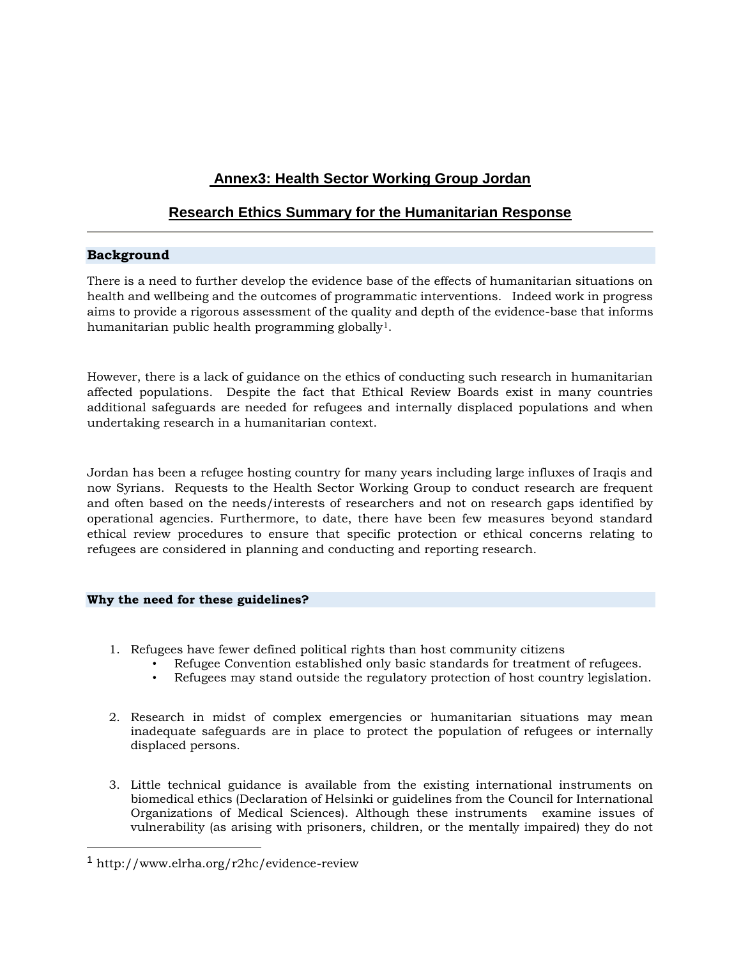# **Annex3: Health Sector Working Group Jordan**

# **Research Ethics Summary for the Humanitarian Response**

## **Background**

There is a need to further develop the evidence base of the effects of humanitarian situations on health and wellbeing and the outcomes of programmatic interventions. Indeed work in progress aims to provide a rigorous assessment of the quality and depth of the evidence-base that informs humanitarian public health programming globally<sup>1</sup>.

However, there is a lack of guidance on the ethics of conducting such research in humanitarian affected populations. Despite the fact that Ethical Review Boards exist in many countries additional safeguards are needed for refugees and internally displaced populations and when undertaking research in a humanitarian context.

Jordan has been a refugee hosting country for many years including large influxes of Iraqis and now Syrians. Requests to the Health Sector Working Group to conduct research are frequent and often based on the needs/interests of researchers and not on research gaps identified by operational agencies. Furthermore, to date, there have been few measures beyond standard ethical review procedures to ensure that specific protection or ethical concerns relating to refugees are considered in planning and conducting and reporting research.

## **Why the need for these guidelines?**

- 1. Refugees have fewer defined political rights than host community citizens
	- Refugee Convention established only basic standards for treatment of refugees.
	- Refugees may stand outside the regulatory protection of host country legislation.
- 2. Research in midst of complex emergencies or humanitarian situations may mean inadequate safeguards are in place to protect the population of refugees or internally displaced persons.
- 3. Little technical guidance is available from the existing international instruments on biomedical ethics (Declaration of Helsinki or guidelines from the Council for International Organizations of Medical Sciences). Although these instruments examine issues of vulnerability (as arising with prisoners, children, or the mentally impaired) they do not

 $\overline{\phantom{a}}$ 

<sup>1</sup> http://www.elrha.org/r2hc/evidence-review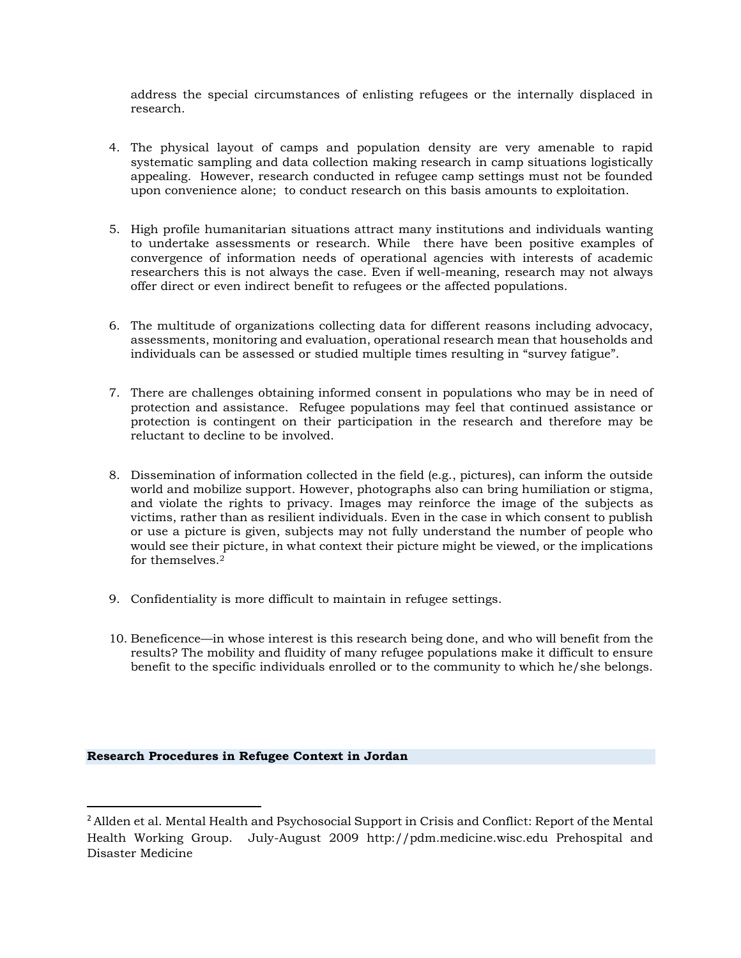address the special circumstances of enlisting refugees or the internally displaced in research.

- 4. The physical layout of camps and population density are very amenable to rapid systematic sampling and data collection making research in camp situations logistically appealing. However, research conducted in refugee camp settings must not be founded upon convenience alone; to conduct research on this basis amounts to exploitation.
- 5. High profile humanitarian situations attract many institutions and individuals wanting to undertake assessments or research. While there have been positive examples of convergence of information needs of operational agencies with interests of academic researchers this is not always the case. Even if well-meaning, research may not always offer direct or even indirect benefit to refugees or the affected populations.
- 6. The multitude of organizations collecting data for different reasons including advocacy, assessments, monitoring and evaluation, operational research mean that households and individuals can be assessed or studied multiple times resulting in "survey fatigue".
- 7. There are challenges obtaining informed consent in populations who may be in need of protection and assistance. Refugee populations may feel that continued assistance or protection is contingent on their participation in the research and therefore may be reluctant to decline to be involved.
- 8. Dissemination of information collected in the field (e.g., pictures), can inform the outside world and mobilize support. However, photographs also can bring humiliation or stigma, and violate the rights to privacy. Images may reinforce the image of the subjects as victims, rather than as resilient individuals. Even in the case in which consent to publish or use a picture is given, subjects may not fully understand the number of people who would see their picture, in what context their picture might be viewed, or the implications for themselves.<sup>2</sup>
- 9. Confidentiality is more difficult to maintain in refugee settings.
- 10. Beneficence—in whose interest is this research being done, and who will benefit from the results? The mobility and fluidity of many refugee populations make it difficult to ensure benefit to the specific individuals enrolled or to the community to which he/she belongs.

#### **Research Procedures in Refugee Context in Jordan**

 $\overline{\phantom{a}}$ 

<sup>&</sup>lt;sup>2</sup> Allden et al. Mental Health and Psychosocial Support in Crisis and Conflict: Report of the Mental Health Working Group. July-August 2009 http://pdm.medicine.wisc.edu Prehospital and Disaster Medicine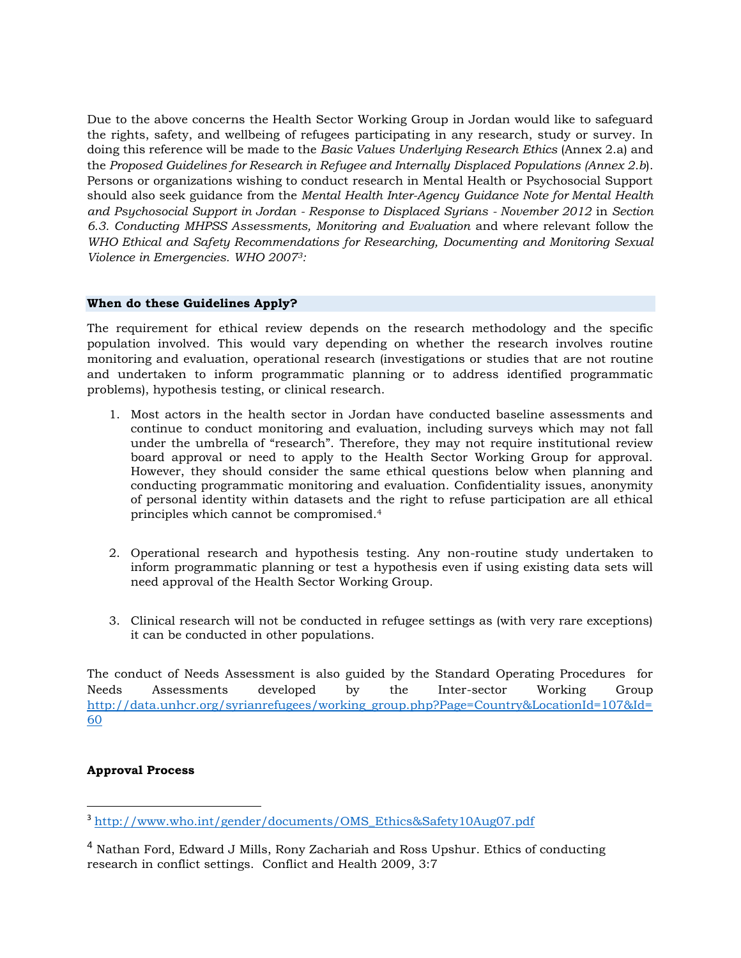Due to the above concerns the Health Sector Working Group in Jordan would like to safeguard the rights, safety, and wellbeing of refugees participating in any research, study or survey. In doing this reference will be made to the *Basic Values Underlying Research Ethics* (Annex 2.a) and the *Proposed Guidelines for Research in Refugee and Internally Displaced Populations (Annex 2.b*). Persons or organizations wishing to conduct research in Mental Health or Psychosocial Support should also seek guidance from the *Mental Health Inter-Agency Guidance Note for Mental Health and Psychosocial Support in Jordan - Response to Displaced Syrians - November 2012* in *Section 6.3. Conducting MHPSS Assessments, Monitoring and Evaluation* and where relevant follow the *WHO Ethical and Safety Recommendations for Researching, Documenting and Monitoring Sexual Violence in Emergencies. WHO 20073:*

#### **When do these Guidelines Apply?**

The requirement for ethical review depends on the research methodology and the specific population involved. This would vary depending on whether the research involves routine monitoring and evaluation, operational research (investigations or studies that are not routine and undertaken to inform programmatic planning or to address identified programmatic problems), hypothesis testing, or clinical research.

- 1. Most actors in the health sector in Jordan have conducted baseline assessments and continue to conduct monitoring and evaluation, including surveys which may not fall under the umbrella of "research". Therefore, they may not require institutional review board approval or need to apply to the Health Sector Working Group for approval. However, they should consider the same ethical questions below when planning and conducting programmatic monitoring and evaluation. Confidentiality issues, anonymity of personal identity within datasets and the right to refuse participation are all ethical principles which cannot be compromised.<sup>4</sup>
- 2. Operational research and hypothesis testing. Any non-routine study undertaken to inform programmatic planning or test a hypothesis even if using existing data sets will need approval of the Health Sector Working Group.
- 3. Clinical research will not be conducted in refugee settings as (with very rare exceptions) it can be conducted in other populations.

The conduct of Needs Assessment is also guided by the Standard Operating Procedures for Needs Assessments developed by the Inter-sector Working Group [http://data.unhcr.org/syrianrefugees/working\\_group.php?Page=Country&LocationId=107&Id=](http://data.unhcr.org/syrianrefugees/working_group.php?Page=Country&LocationId=107&Id=60) [60](http://data.unhcr.org/syrianrefugees/working_group.php?Page=Country&LocationId=107&Id=60)

## **Approval Process**

l

<sup>&</sup>lt;sup>3</sup> [http://www.who.int/gender/documents/OMS\\_Ethics&Safety10Aug07.pdf](http://www.who.int/gender/documents/OMS_Ethics&Safety10Aug07.pdf)

<sup>4</sup> Nathan Ford, Edward J Mills, Rony Zachariah and Ross Upshur. Ethics of conducting research in conflict settings. Conflict and Health 2009, 3:7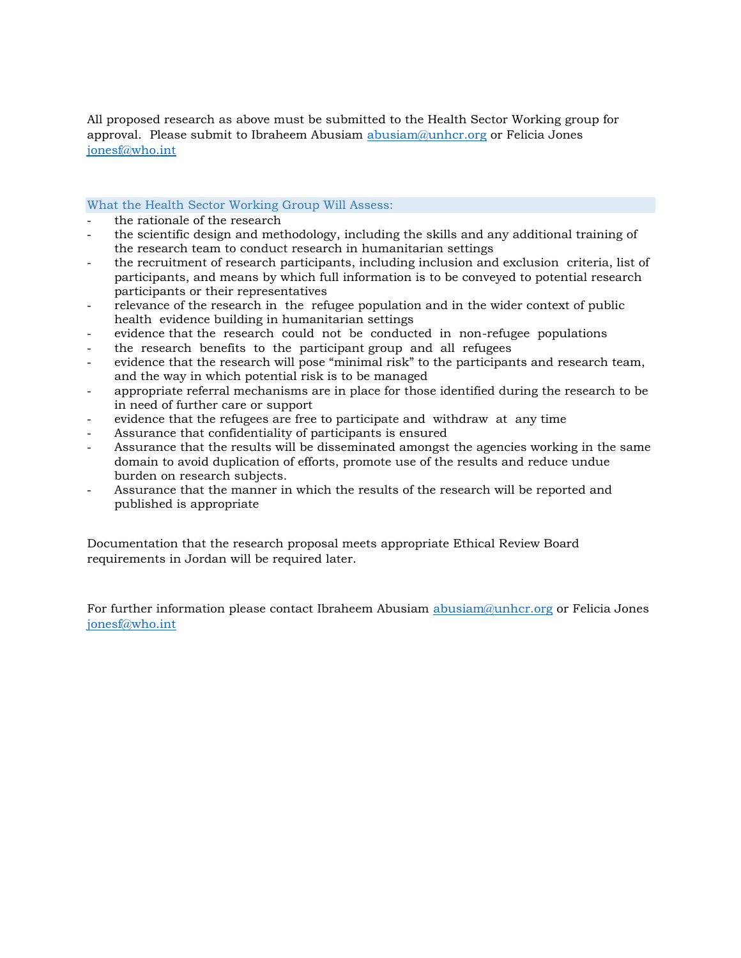All proposed research as above must be submitted to the Health Sector Working group for approval. Please submit to Ibraheem Abusiam abusiam $@$ unhcr.org or Felicia Jones [jonesf@who.int](mailto:jonesf@who.int)

#### What the Health Sector Working Group Will Assess:

- the rationale of the research
- the scientific design and methodology, including the skills and any additional training of the research team to conduct research in humanitarian settings
- the recruitment of research participants, including inclusion and exclusion criteria, list of participants, and means by which full information is to be conveyed to potential research participants or their representatives
- relevance of the research in the refugee population and in the wider context of public health evidence building in humanitarian settings
- evidence that the research could not be conducted in non-refugee populations
- the research benefits to the participant group and all refugees
- evidence that the research will pose "minimal risk" to the participants and research team, and the way in which potential risk is to be managed
- appropriate referral mechanisms are in place for those identified during the research to be in need of further care or support
- evidence that the refugees are free to participate and withdraw at any time
- Assurance that confidentiality of participants is ensured
- Assurance that the results will be disseminated amongst the agencies working in the same domain to avoid duplication of efforts, promote use of the results and reduce undue burden on research subjects.
- Assurance that the manner in which the results of the research will be reported and published is appropriate

Documentation that the research proposal meets appropriate Ethical Review Board requirements in Jordan will be required later.

For further information please contact Ibraheem Abusiam [abusiam@unhcr.org](mailto:abusiam@unhcr.org) or Felicia Jones [jonesf@who.int](mailto:jonesf@who.int)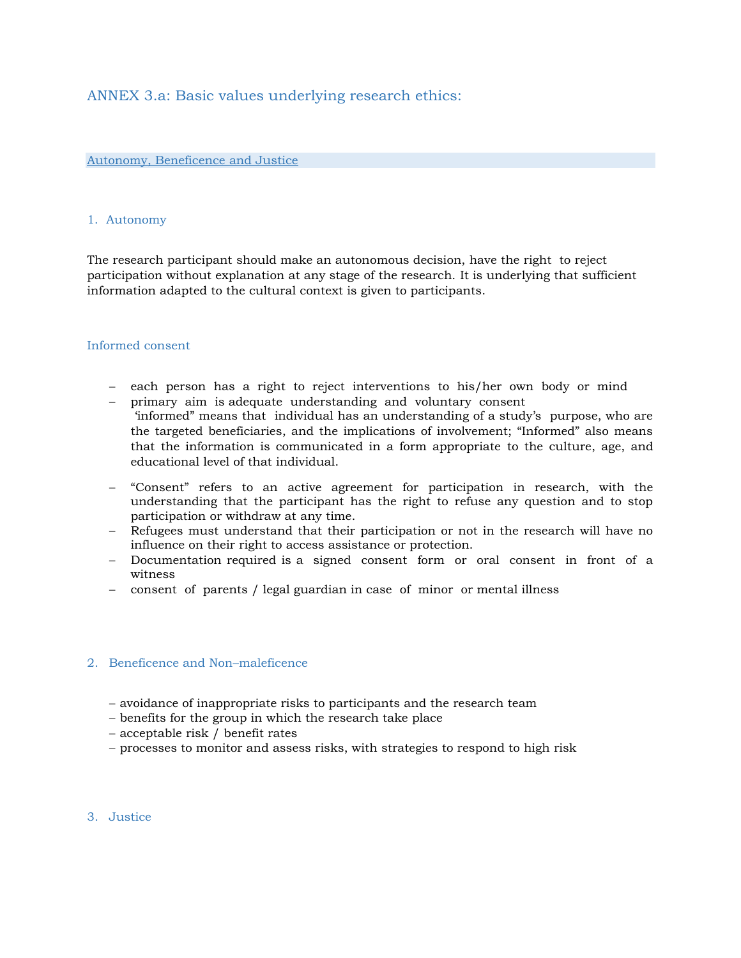## ANNEX 3.a: Basic values underlying research ethics:

#### Autonomy, Beneficence and Justice

#### 1. Autonomy

The research participant should make an autonomous decision, have the right to reject participation without explanation at any stage of the research. It is underlying that sufficient information adapted to the cultural context is given to participants.

#### Informed consent

- each person has a right to reject interventions to his/her own body or mind
- primary aim is adequate understanding and voluntary consent 'informed" means that individual has an understanding of a study's purpose, who are the targeted beneficiaries, and the implications of involvement; "Informed" also means that the information is communicated in a form appropriate to the culture, age, and educational level of that individual.
- "Consent" refers to an active agreement for participation in research, with the understanding that the participant has the right to refuse any question and to stop participation or withdraw at any time.
- Refugees must understand that their participation or not in the research will have no influence on their right to access assistance or protection.
- Documentation required is a signed consent form or oral consent in front of a witness
- consent of parents / legal guardian in case of minor or mental illness

#### 2. Beneficence and Non–maleficence

- avoidance of inappropriate risks to participants and the research team
- benefits for the group in which the research take place
- acceptable risk / benefit rates
- processes to monitor and assess risks, with strategies to respond to high risk
- 3. Justice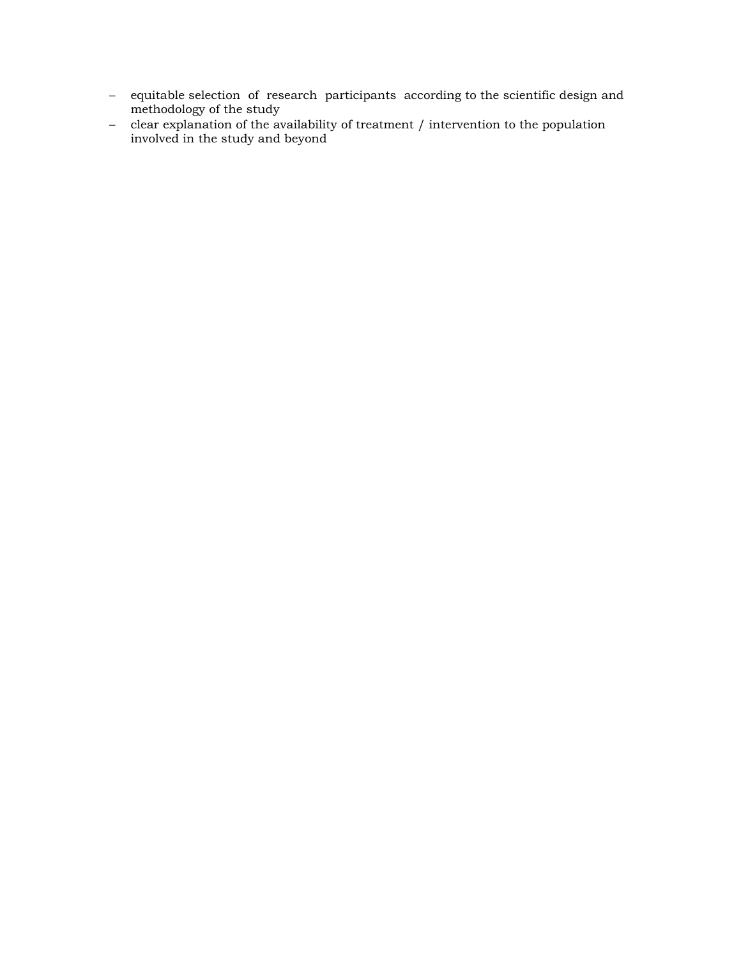- equitable selection of research participants according to the scientific design and methodology of the study
- clear explanation of the availability of treatment / intervention to the population involved in the study and beyond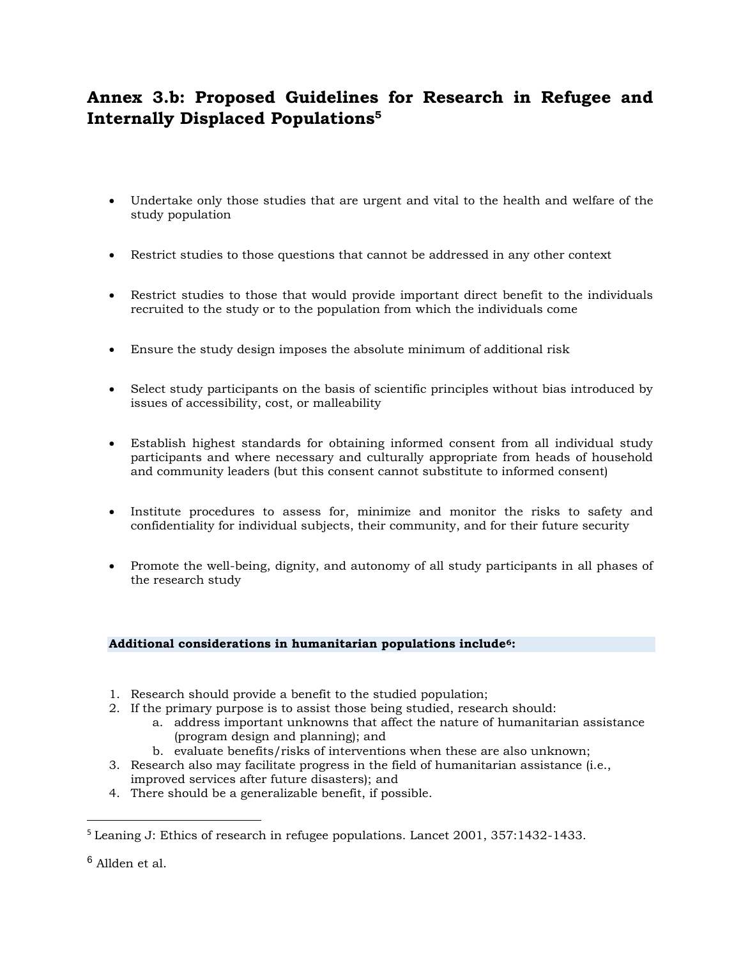# **Annex 3.b: Proposed Guidelines for Research in Refugee and Internally Displaced Populations<sup>5</sup>**

- Undertake only those studies that are urgent and vital to the health and welfare of the study population
- Restrict studies to those questions that cannot be addressed in any other context
- Restrict studies to those that would provide important direct benefit to the individuals recruited to the study or to the population from which the individuals come
- Ensure the study design imposes the absolute minimum of additional risk
- Select study participants on the basis of scientific principles without bias introduced by issues of accessibility, cost, or malleability
- Establish highest standards for obtaining informed consent from all individual study participants and where necessary and culturally appropriate from heads of household and community leaders (but this consent cannot substitute to informed consent)
- Institute procedures to assess for, minimize and monitor the risks to safety and confidentiality for individual subjects, their community, and for their future security
- Promote the well-being, dignity, and autonomy of all study participants in all phases of the research study

#### **Additional considerations in humanitarian populations include6:**

- 1. Research should provide a benefit to the studied population;
- 2. If the primary purpose is to assist those being studied, research should:
	- a. address important unknowns that affect the nature of humanitarian assistance (program design and planning); and
	- b. evaluate benefits/risks of interventions when these are also unknown;
- 3. Research also may facilitate progress in the field of humanitarian assistance (i.e., improved services after future disasters); and
- 4. There should be a generalizable benefit, if possible.

 $\overline{\phantom{a}}$ 

<sup>5</sup> Leaning J: Ethics of research in refugee populations. Lancet 2001, 357:1432-1433.

<sup>6</sup> Allden et al.